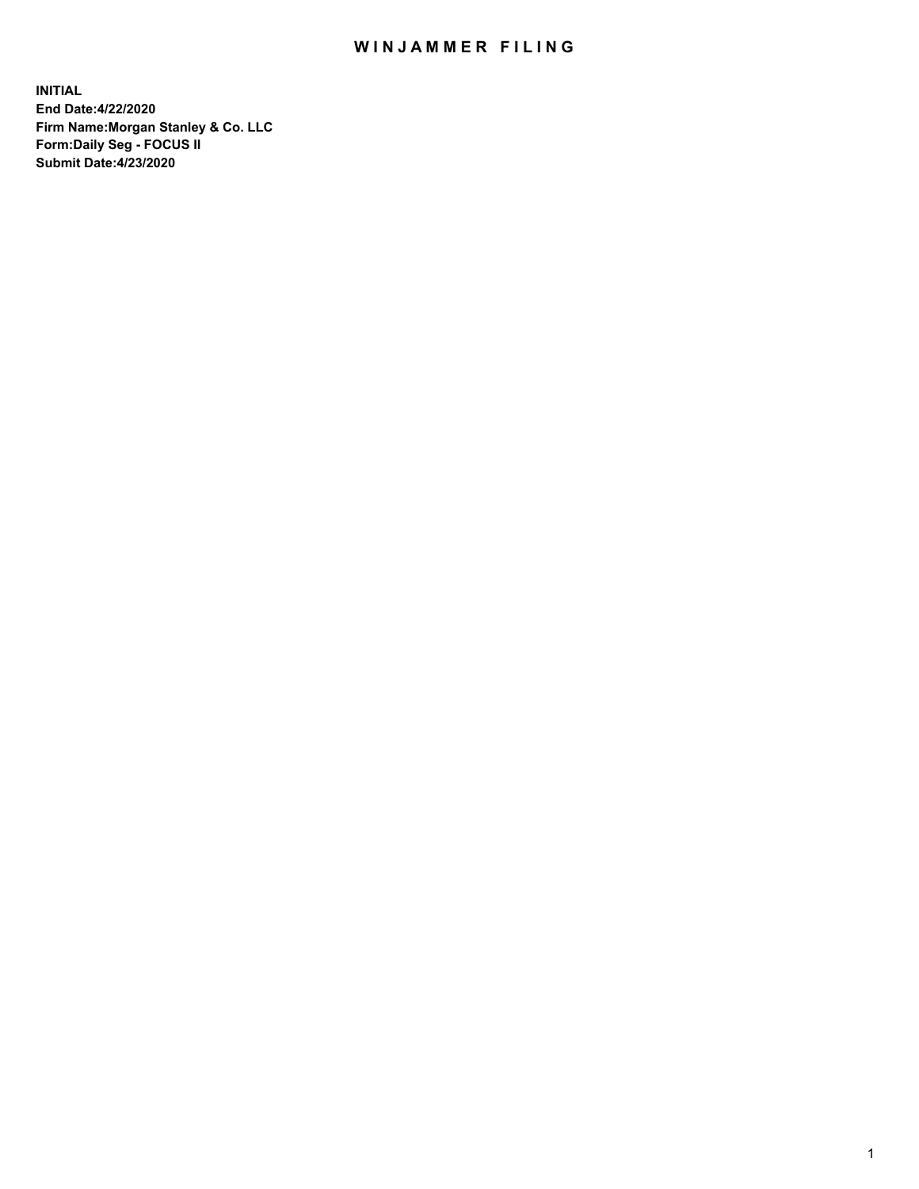## WIN JAMMER FILING

**INITIAL End Date:4/22/2020 Firm Name:Morgan Stanley & Co. LLC Form:Daily Seg - FOCUS II Submit Date:4/23/2020**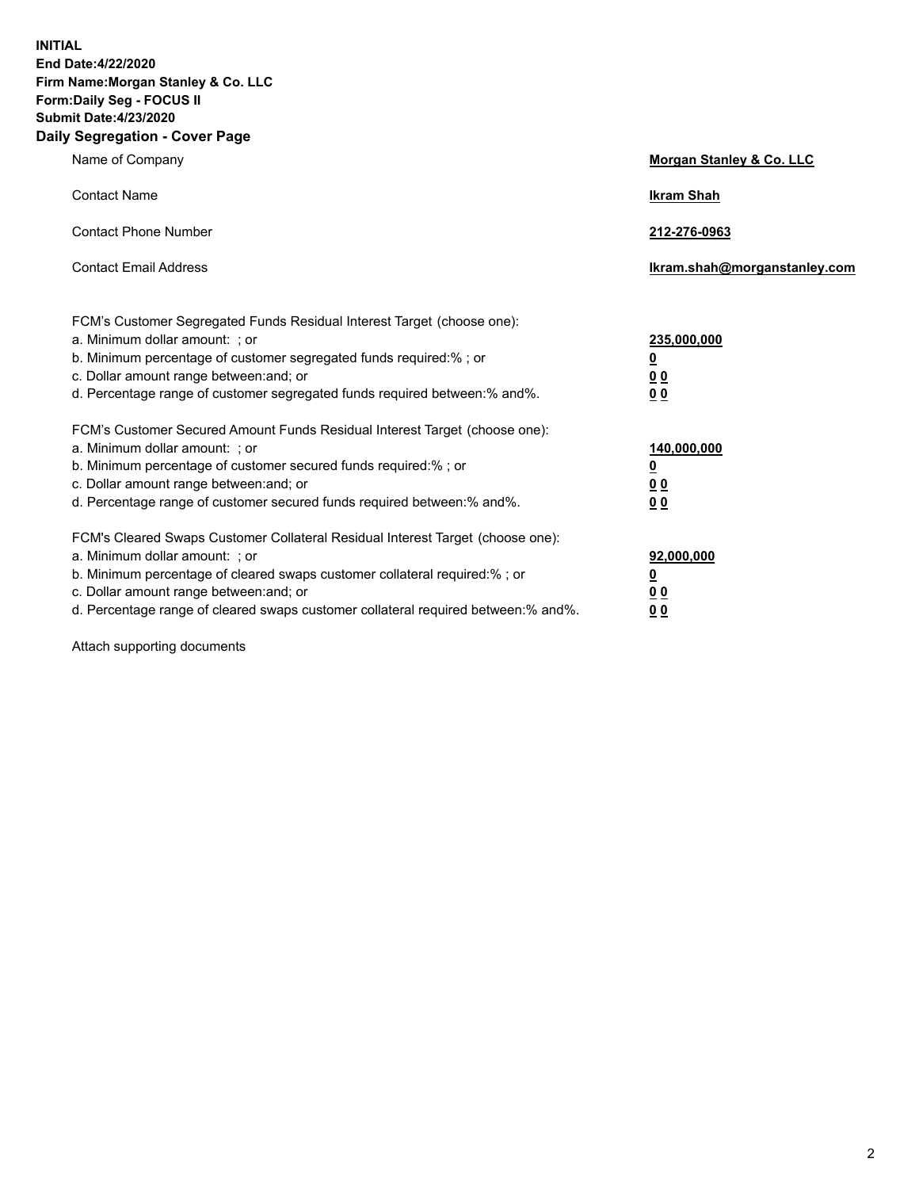**INITIAL End Date:4/22/2020 Firm Name:Morgan Stanley & Co. LLC Form:Daily Seg - FOCUS II Submit Date:4/23/2020 Daily Segregation - Cover Page**

| Name of Company                                                                                                                                                                                                                                                                                                                | Morgan Stanley & Co. LLC                                |
|--------------------------------------------------------------------------------------------------------------------------------------------------------------------------------------------------------------------------------------------------------------------------------------------------------------------------------|---------------------------------------------------------|
| <b>Contact Name</b>                                                                                                                                                                                                                                                                                                            | <b>Ikram Shah</b>                                       |
| <b>Contact Phone Number</b>                                                                                                                                                                                                                                                                                                    | 212-276-0963                                            |
| <b>Contact Email Address</b>                                                                                                                                                                                                                                                                                                   | Ikram.shah@morganstanley.com                            |
| FCM's Customer Segregated Funds Residual Interest Target (choose one):<br>a. Minimum dollar amount: ; or<br>b. Minimum percentage of customer segregated funds required:% ; or<br>c. Dollar amount range between: and; or<br>d. Percentage range of customer segregated funds required between:% and%.                         | 235,000,000<br><u>0</u><br><u>00</u><br><u>00</u>       |
| FCM's Customer Secured Amount Funds Residual Interest Target (choose one):<br>a. Minimum dollar amount: ; or<br>b. Minimum percentage of customer secured funds required:%; or<br>c. Dollar amount range between: and; or<br>d. Percentage range of customer secured funds required between:% and%.                            | 140,000,000<br><u>0</u><br><u>0 0</u><br>0 <sub>0</sub> |
| FCM's Cleared Swaps Customer Collateral Residual Interest Target (choose one):<br>a. Minimum dollar amount: ; or<br>b. Minimum percentage of cleared swaps customer collateral required:% ; or<br>c. Dollar amount range between: and; or<br>d. Percentage range of cleared swaps customer collateral required between:% and%. | 92,000,000<br><u>0</u><br><u>00</u><br>00               |

Attach supporting documents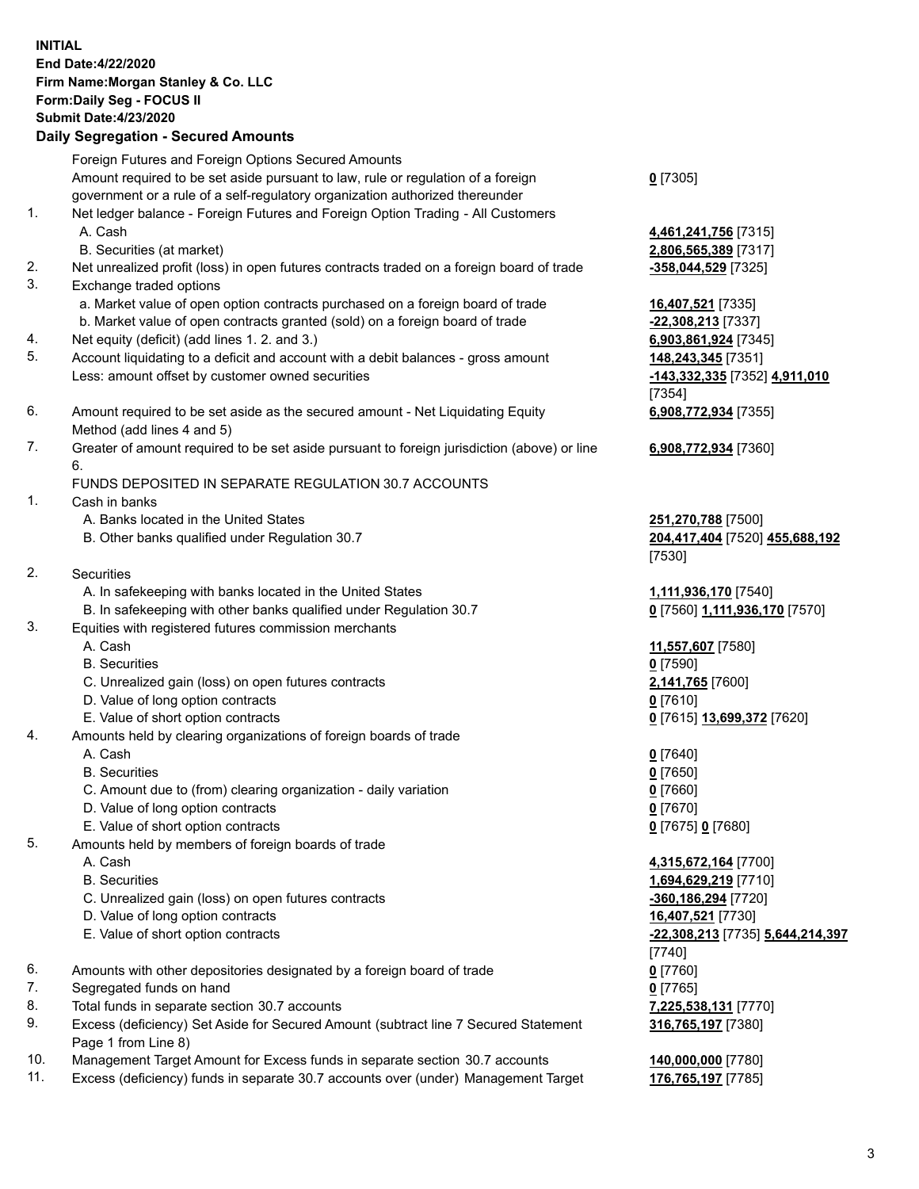## **INITIAL End Date:4/22/2020 Firm Name:Morgan Stanley & Co. LLC Form:Daily Seg - FOCUS II Submit Date:4/23/2020 Daily Segregation - Secured Amounts** Foreign Futures and Foreign Options Secured Amounts Amount required to be set aside pursuant to law, rule or regulation of a foreign government or a rule of a self-regulatory organization authorized thereunder **0** [7305] 1. Net ledger balance - Foreign Futures and Foreign Option Trading - All Customers A. Cash **4,461,241,756** [7315] B. Securities (at market) **2,806,565,389** [7317] 2. Net unrealized profit (loss) in open futures contracts traded on a foreign board of trade **-358,044,529** [7325] 3. Exchange traded options a. Market value of open option contracts purchased on a foreign board of trade **16,407,521** [7335] b. Market value of open contracts granted (sold) on a foreign board of trade **-22,308,213** [7337] 4. Net equity (deficit) (add lines 1. 2. and 3.) **6,903,861,924** [7345] 5. Account liquidating to a deficit and account with a debit balances - gross amount **148,243,345** [7351] Less: amount offset by customer owned securities **-143,332,335** [7352] **4,911,010** [7354] 6. Amount required to be set aside as the secured amount - Net Liquidating Equity Method (add lines 4 and 5) **6,908,772,934** [7355] 7. Greater of amount required to be set aside pursuant to foreign jurisdiction (above) or line 6. **6,908,772,934** [7360] FUNDS DEPOSITED IN SEPARATE REGULATION 30.7 ACCOUNTS 1. Cash in banks A. Banks located in the United States **251,270,788** [7500] B. Other banks qualified under Regulation 30.7 **204,417,404** [7520] **455,688,192** [7530] 2. Securities A. In safekeeping with banks located in the United States **1,111,936,170** [7540] B. In safekeeping with other banks qualified under Regulation 30.7 **0** [7560] **1,111,936,170** [7570] 3. Equities with registered futures commission merchants A. Cash **11,557,607** [7580] B. Securities **0** [7590] C. Unrealized gain (loss) on open futures contracts **2,141,765** [7600] D. Value of long option contracts **0** [7610] E. Value of short option contracts **0** [7615] **13,699,372** [7620] 4. Amounts held by clearing organizations of foreign boards of trade A. Cash **0** [7640] B. Securities **0** [7650] C. Amount due to (from) clearing organization - daily variation **0** [7660] D. Value of long option contracts **0** [7670] E. Value of short option contracts **0** [7675] **0** [7680] 5. Amounts held by members of foreign boards of trade A. Cash **4,315,672,164** [7700] B. Securities **1,694,629,219** [7710] C. Unrealized gain (loss) on open futures contracts **-360,186,294** [7720] D. Value of long option contracts **16,407,521** [7730] E. Value of short option contracts **-22,308,213** [7735] **5,644,214,397** [7740] 6. Amounts with other depositories designated by a foreign board of trade **0** [7760] 7. Segregated funds on hand **0** [7765] 8. Total funds in separate section 30.7 accounts **7,225,538,131** [7770] 9. Excess (deficiency) Set Aside for Secured Amount (subtract line 7 Secured Statement Page 1 from Line 8) **316,765,197** [7380] 10. Management Target Amount for Excess funds in separate section 30.7 accounts **140,000,000** [7780]

11. Excess (deficiency) funds in separate 30.7 accounts over (under) Management Target **176,765,197** [7785]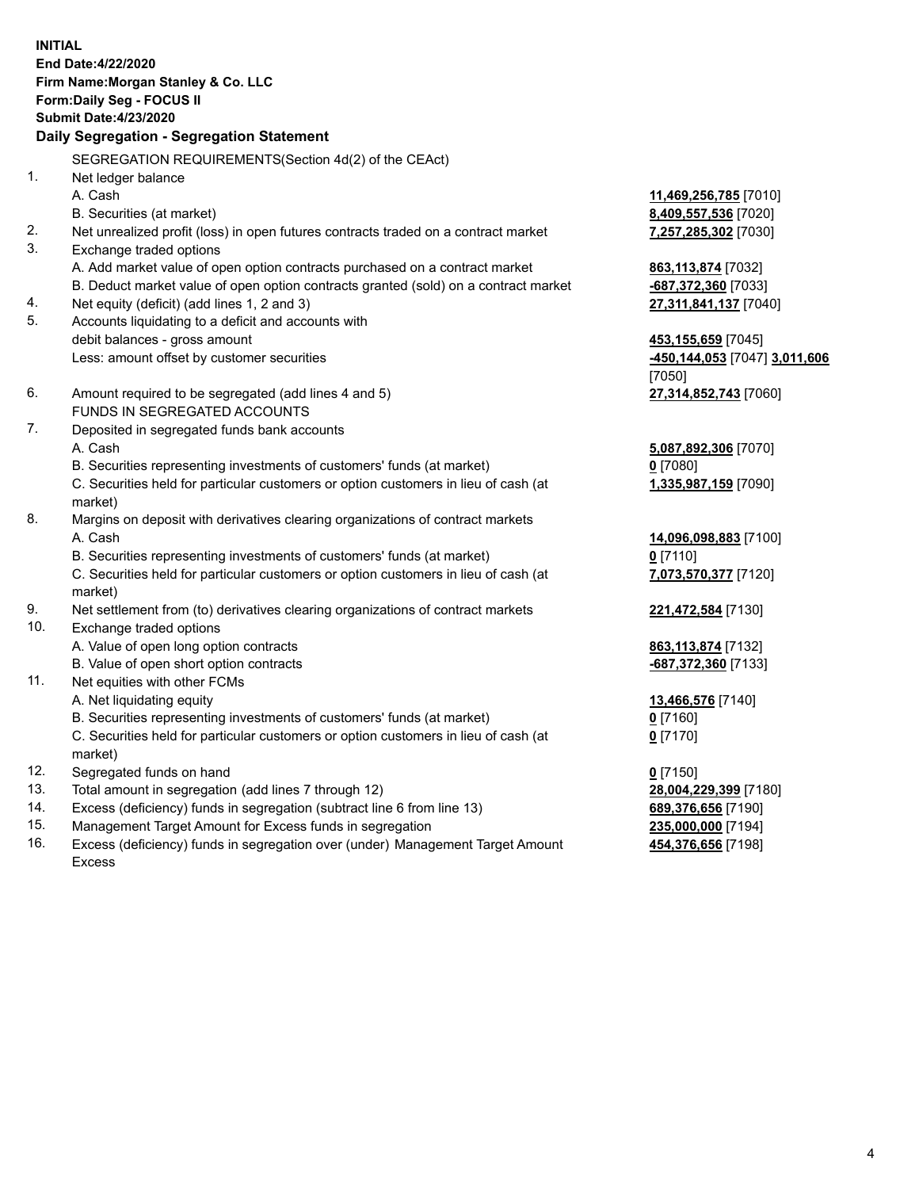**INITIAL End Date:4/22/2020 Firm Name:Morgan Stanley & Co. LLC Form:Daily Seg - FOCUS II Submit Date:4/23/2020 Daily Segregation - Segregation Statement** SEGREGATION REQUIREMENTS(Section 4d(2) of the CEAct) 1. Net ledger balance A. Cash **11,469,256,785** [7010] B. Securities (at market) **8,409,557,536** [7020] 2. Net unrealized profit (loss) in open futures contracts traded on a contract market **7,257,285,302** [7030] 3. Exchange traded options A. Add market value of open option contracts purchased on a contract market **863,113,874** [7032] B. Deduct market value of open option contracts granted (sold) on a contract market **-687,372,360** [7033] 4. Net equity (deficit) (add lines 1, 2 and 3) **27,311,841,137** [7040] 5. Accounts liquidating to a deficit and accounts with debit balances - gross amount **453,155,659** [7045] Less: amount offset by customer securities **-450,144,053** [7047] **3,011,606** [7050] 6. Amount required to be segregated (add lines 4 and 5) **27,314,852,743** [7060] FUNDS IN SEGREGATED ACCOUNTS 7. Deposited in segregated funds bank accounts A. Cash **5,087,892,306** [7070] B. Securities representing investments of customers' funds (at market) **0** [7080] C. Securities held for particular customers or option customers in lieu of cash (at market) **1,335,987,159** [7090] 8. Margins on deposit with derivatives clearing organizations of contract markets A. Cash **14,096,098,883** [7100] B. Securities representing investments of customers' funds (at market) **0** [7110] C. Securities held for particular customers or option customers in lieu of cash (at market) **7,073,570,377** [7120] 9. Net settlement from (to) derivatives clearing organizations of contract markets **221,472,584** [7130] 10. Exchange traded options A. Value of open long option contracts **863,113,874** [7132] B. Value of open short option contracts **and the set of our of the set of our of the set of the set of the set of the set of the set of the set of the set of the set of the set of the set of the set of the set of the set o** 11. Net equities with other FCMs A. Net liquidating equity **13,466,576** [7140] B. Securities representing investments of customers' funds (at market) **0** [7160] C. Securities held for particular customers or option customers in lieu of cash (at market) **0** [7170] 12. Segregated funds on hand **0** [7150] 13. Total amount in segregation (add lines 7 through 12) **28,004,229,399** [7180] 14. Excess (deficiency) funds in segregation (subtract line 6 from line 13) **689,376,656** [7190] 15. Management Target Amount for Excess funds in segregation **235,000,000** [7194]

16. Excess (deficiency) funds in segregation over (under) Management Target Amount Excess

**454,376,656** [7198]